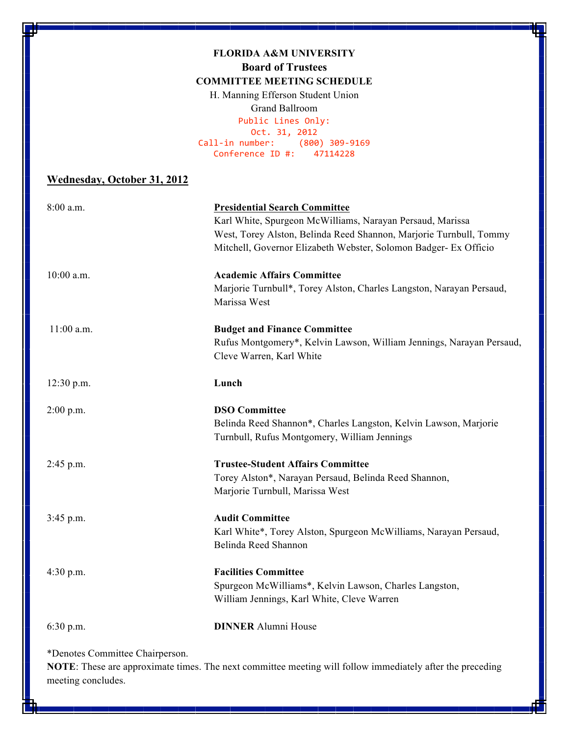#### **FLORIDA A&M UNIVERSITY Board of Trustees COMMITTEE MEETING SCHEDULE**

H. Manning Efferson Student Union Grand Ballroom Public
Lines
Only: Oct.
31,
2012 Call‐in
number: (800)
309‐9169 Conference
ID
#: 47114228

#### **Wednesday, October 31, 2012**

| 8:00 a.m.                       | <b>Presidential Search Committee</b>                                 |
|---------------------------------|----------------------------------------------------------------------|
|                                 | Karl White, Spurgeon McWilliams, Narayan Persaud, Marissa            |
|                                 | West, Torey Alston, Belinda Reed Shannon, Marjorie Turnbull, Tommy   |
|                                 | Mitchell, Governor Elizabeth Webster, Solomon Badger- Ex Officio     |
| 10:00 a.m.                      | <b>Academic Affairs Committee</b>                                    |
|                                 | Marjorie Turnbull*, Torey Alston, Charles Langston, Narayan Persaud, |
|                                 | Marissa West                                                         |
| $11:00$ a.m.                    | <b>Budget and Finance Committee</b>                                  |
|                                 | Rufus Montgomery*, Kelvin Lawson, William Jennings, Narayan Persaud, |
|                                 | Cleve Warren, Karl White                                             |
| 12:30 p.m.                      | Lunch                                                                |
| $2:00$ p.m.                     | <b>DSO</b> Committee                                                 |
|                                 | Belinda Reed Shannon*, Charles Langston, Kelvin Lawson, Marjorie     |
|                                 | Turnbull, Rufus Montgomery, William Jennings                         |
| 2:45 p.m.                       | <b>Trustee-Student Affairs Committee</b>                             |
|                                 | Torey Alston*, Narayan Persaud, Belinda Reed Shannon,                |
|                                 | Marjorie Turnbull, Marissa West                                      |
| $3:45$ p.m.                     | <b>Audit Committee</b>                                               |
|                                 | Karl White*, Torey Alston, Spurgeon McWilliams, Narayan Persaud,     |
|                                 | Belinda Reed Shannon                                                 |
| $4:30$ p.m.                     | <b>Facilities Committee</b>                                          |
|                                 | Spurgeon McWilliams*, Kelvin Lawson, Charles Langston,               |
|                                 | William Jennings, Karl White, Cleve Warren                           |
| 6:30 p.m.                       | <b>DINNER Alumni House</b>                                           |
| *Denotes Committee Chairperson. |                                                                      |

**NOTE**: These are approximate times. The next committee meeting will follow immediately after the preceding meeting concludes.